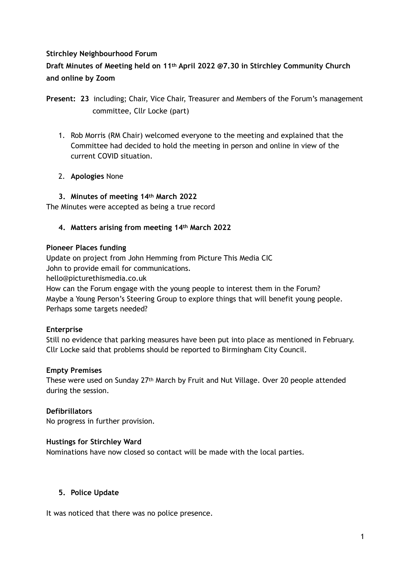#### **Stirchley Neighbourhood Forum**

# **Draft Minutes of Meeting held on 11th April 2022 @7.30 in Stirchley Community Church and online by Zoom**

- 1. Rob Morris (RM Chair) welcomed everyone to the meeting and explained that the Committee had decided to hold the meeting in person and online in view of the current COVID situation.
- 2. **Apologies** None
- **3. Minutes of meeting 14th March 2022**

The Minutes were accepted as being a true record

**4. Matters arising from meeting 14th March 2022** 

#### **Pioneer Places funding**

Update on project from John Hemming from Picture This Media CIC John to provide email for communications. hello@picturethismedia.co.uk How can the Forum engage with the young people to interest them in the Forum? Maybe a Young Person's Steering Group to explore things that will benefit young people. Perhaps some targets needed?

#### **Enterprise**

Still no evidence that parking measures have been put into place as mentioned in February. Cllr Locke said that problems should be reported to Birmingham City Council.

#### **Empty Premises**

These were used on Sunday 27th March by Fruit and Nut Village. Over 20 people attended during the session.

#### **Defibrillators**

No progress in further provision.

#### **Hustings for Stirchley Ward**

Nominations have now closed so contact will be made with the local parties.

#### **5. Police Update**

It was noticed that there was no police presence.

**Present: 23** including; Chair, Vice Chair, Treasurer and Members of the Forum's management committee, Cllr Locke (part)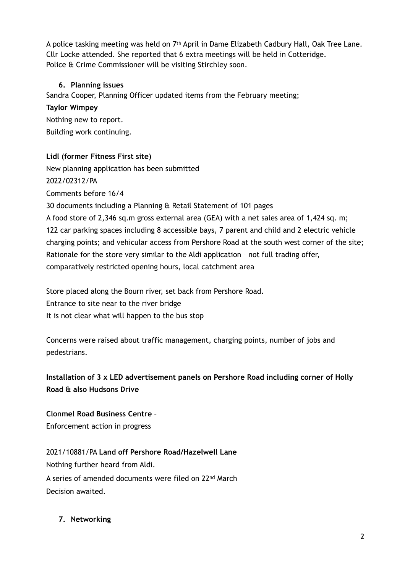A police tasking meeting was held on 7th April in Dame Elizabeth Cadbury Hall, Oak Tree Lane. Cllr Locke attended. She reported that 6 extra meetings will be held in Cotteridge. Police & Crime Commissioner will be visiting Stirchley soon.

## **6. Planning issues**

Sandra Cooper, Planning Officer updated items from the February meeting;

#### **Taylor Wimpey**

Nothing new to report. Building work continuing.

## **Lidl (former Fitness First site)**

New planning application has been submitted

## 2022/02312/PA

Comments before 16/4

30 documents including a Planning & Retail Statement of 101 pages

A food store of 2,346 sq.m gross external area (GEA) with a net sales area of 1,424 sq. m; 122 car parking spaces including 8 accessible bays, 7 parent and child and 2 electric vehicle charging points; and vehicular access from Pershore Road at the south west corner of the site; Rationale for the store very similar to the Aldi application – not full trading offer, comparatively restricted opening hours, local catchment area

Store placed along the Bourn river, set back from Pershore Road. Entrance to site near to the river bridge It is not clear what will happen to the bus stop

Concerns were raised about traffic management, charging points, number of jobs and pedestrians.

# **Installation of 3 x LED advertisement panels on Pershore Road including corner of Holly Road & also Hudsons Drive**

**Clonmel Road Business Centre** – Enforcement action in progress

2021/10881/PA **Land off Pershore Road/Hazelwell Lane**  Nothing further heard from Aldi. A series of amended documents were filed on 22nd March Decision awaited.

# **7. Networking**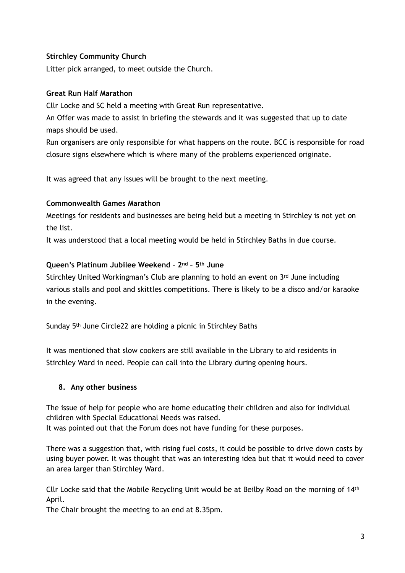## **Stirchley Community Church**

Litter pick arranged, to meet outside the Church.

#### **Great Run Half Marathon**

Cllr Locke and SC held a meeting with Great Run representative.

An Offer was made to assist in briefing the stewards and it was suggested that up to date maps should be used.

Run organisers are only responsible for what happens on the route. BCC is responsible for road closure signs elsewhere which is where many of the problems experienced originate.

It was agreed that any issues will be brought to the next meeting.

## **Commonwealth Games Marathon**

Meetings for residents and businesses are being held but a meeting in Stirchley is not yet on the list.

It was understood that a local meeting would be held in Stirchley Baths in due course.

## **Queen's Platinum Jubilee Weekend – 2nd – 5th June**

Stirchley United Workingman's Club are planning to hold an event on 3rd June including various stalls and pool and skittles competitions. There is likely to be a disco and/or karaoke in the evening.

Sunday 5th June Circle22 are holding a picnic in Stirchley Baths

It was mentioned that slow cookers are still available in the Library to aid residents in Stirchley Ward in need. People can call into the Library during opening hours.

# **8. Any other business**

The issue of help for people who are home educating their children and also for individual children with Special Educational Needs was raised. It was pointed out that the Forum does not have funding for these purposes.

There was a suggestion that, with rising fuel costs, it could be possible to drive down costs by using buyer power. It was thought that was an interesting idea but that it would need to cover an area larger than Stirchley Ward.

Cllr Locke said that the Mobile Recycling Unit would be at Beilby Road on the morning of 14th April.

The Chair brought the meeting to an end at 8.35pm.